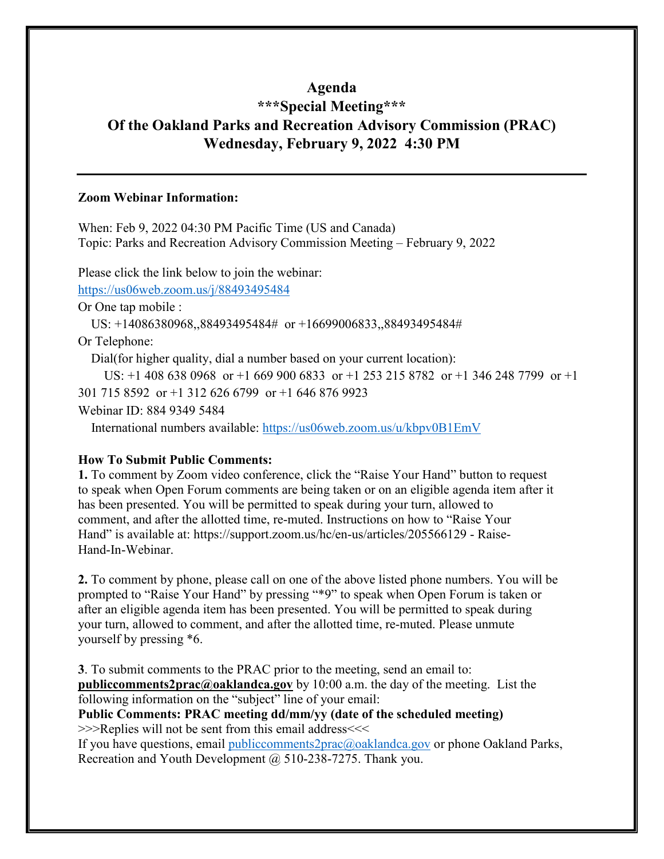#### **Agenda**

# **\*\*\*Special Meeting\*\*\* Of the Oakland Parks and Recreation Advisory Commission (PRAC) Wednesday, February 9, 2022 4:30 PM**

#### **Zoom Webinar Information:**

When: Feb 9, 2022 04:30 PM Pacific Time (US and Canada) Topic: Parks and Recreation Advisory Commission Meeting – February 9, 2022

Please click the link below to join the webinar:

<https://us06web.zoom.us/j/88493495484>

Or One tap mobile :

US: +14086380968,,88493495484# or +16699006833,,88493495484#

Or Telephone:

Dial(for higher quality, dial a number based on your current location):

US: +1 408 638 0968 or +1 669 900 6833 or +1 253 215 8782 or +1 346 248 7799 or +1 301 715 8592 or +1 312 626 6799 or +1 646 876 9923

Webinar ID: 884 9349 5484

International numbers available:<https://us06web.zoom.us/u/kbpv0B1EmV>

#### **How To Submit Public Comments:**

**1.** To comment by Zoom video conference, click the "Raise Your Hand" button to request to speak when Open Forum comments are being taken or on an eligible agenda item after it has been presented. You will be permitted to speak during your turn, allowed to comment, and after the allotted time, re-muted. Instructions on how to "Raise Your Hand" is available at: https://support.zoom.us/hc/en-us/articles/205566129 - Raise-Hand-In-Webinar.

**2.** To comment by phone, please call on one of the above listed phone numbers. You will be prompted to "Raise Your Hand" by pressing "\*9" to speak when Open Forum is taken or after an eligible agenda item has been presented. You will be permitted to speak during your turn, allowed to comment, and after the allotted time, re-muted. Please unmute yourself by pressing \*6.

**3**. To submit comments to the PRAC prior to the meeting, send an email to: **[publiccomments2prac@oaklandca.gov](mailto:publiccomments2prac@oaklandca.gov)** by 10:00 a.m. the day of the meeting. List the following information on the "subject" line of your email:

**Public Comments: PRAC meeting dd/mm/yy (date of the scheduled meeting)** >>>Replies will not be sent from this email address<<<

If you have questions, email [publiccomments2prac@oaklandca.gov](mailto:publiccomments2prac@oaklandca.gov) or phone Oakland Parks, Recreation and Youth Development @ 510-238-7275. Thank you.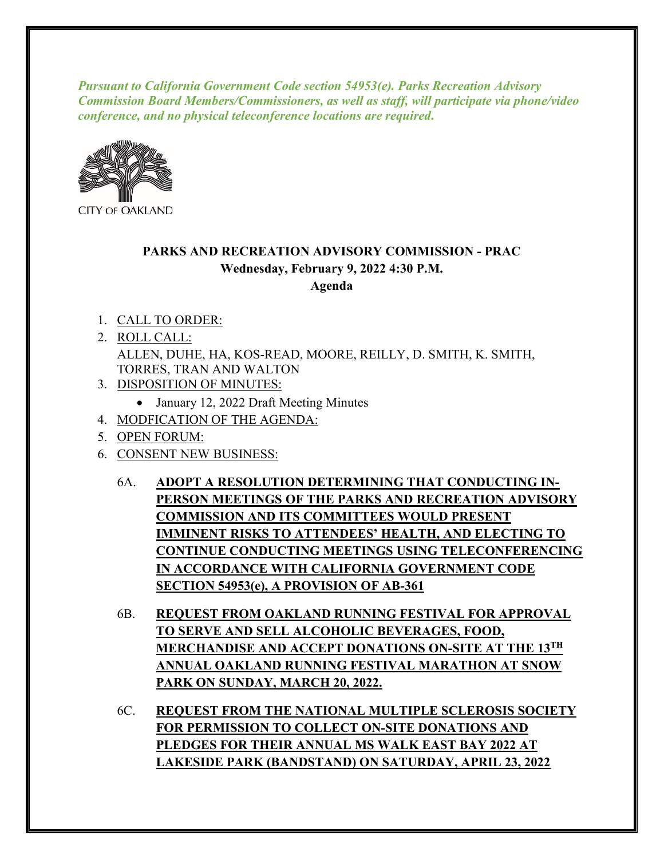*Pursuant to California Government Code section 54953(e). Parks Recreation Advisory Commission Board Members/Commissioners, as well as staff, will participate via phone/video conference, and no physical teleconference locations are required***.**



**CITY OF OAKLAND** 

### **PARKS AND RECREATION ADVISORY COMMISSION - PRAC Wednesday, February 9, 2022 4:30 P.M. Agenda**

- 1. CALL TO ORDER:
- 2. ROLL CALL: ALLEN, DUHE, HA, KOS-READ, MOORE, REILLY, D. SMITH, K. SMITH, TORRES, TRAN AND WALTON
- 3. DISPOSITION OF MINUTES:
	- January 12, 2022 Draft Meeting Minutes
- 4. MODFICATION OF THE AGENDA:
- 5. OPEN FORUM:
- 6. CONSENT NEW BUSINESS:
	- 6A. **ADOPT A RESOLUTION DETERMINING THAT CONDUCTING IN-PERSON MEETINGS OF THE PARKS AND RECREATION ADVISORY COMMISSION AND ITS COMMITTEES WOULD PRESENT IMMINENT RISKS TO ATTENDEES' HEALTH, AND ELECTING TO CONTINUE CONDUCTING MEETINGS USING TELECONFERENCING IN ACCORDANCE WITH CALIFORNIA GOVERNMENT CODE SECTION 54953(e), A PROVISION OF AB-361**
	- 6B. **REQUEST FROM OAKLAND RUNNING FESTIVAL FOR APPROVAL TO SERVE AND SELL ALCOHOLIC BEVERAGES, FOOD, MERCHANDISE AND ACCEPT DONATIONS ON-SITE AT THE 13TH ANNUAL OAKLAND RUNNING FESTIVAL MARATHON AT SNOW PARK ON SUNDAY, MARCH 20, 2022.**
	- 6C. **REQUEST FROM THE NATIONAL MULTIPLE SCLEROSIS SOCIETY FOR PERMISSION TO COLLECT ON-SITE DONATIONS AND PLEDGES FOR THEIR ANNUAL MS WALK EAST BAY 2022 AT LAKESIDE PARK (BANDSTAND) ON SATURDAY, APRIL 23, 2022**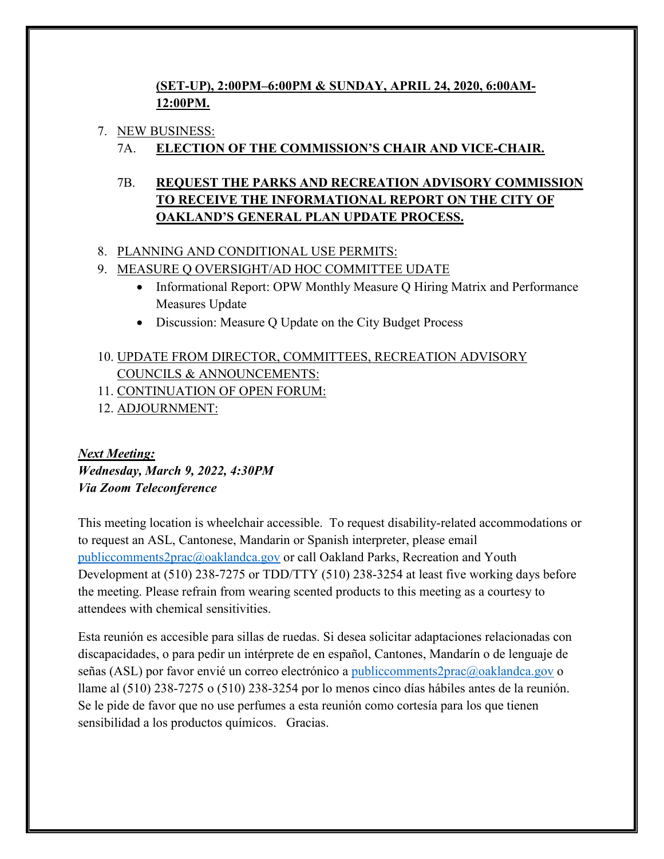## **(SET-UP), 2:00PM–6:00PM & SUNDAY, APRIL 24, 2020, 6:00AM-12:00PM.**

#### 7. NEW BUSINESS:

## 7A. **ELECTION OF THE COMMISSION'S CHAIR AND VICE-CHAIR.**

# 7B. **REQUEST THE PARKS AND RECREATION ADVISORY COMMISSION TO RECEIVE THE INFORMATIONAL REPORT ON THE CITY OF OAKLAND'S GENERAL PLAN UPDATE PROCESS.**

### 8. PLANNING AND CONDITIONAL USE PERMITS:

#### 9. MEASURE Q OVERSIGHT/AD HOC COMMITTEE UDATE

- Informational Report: OPW Monthly Measure Q Hiring Matrix and Performance Measures Update
- Discussion: Measure Q Update on the City Budget Process

# 10. UPDATE FROM DIRECTOR, COMMITTEES, RECREATION ADVISORY COUNCILS & ANNOUNCEMENTS:

- 11. CONTINUATION OF OPEN FORUM:
- 12. ADJOURNMENT:

# *Next Meeting: Wednesday, March 9, 2022, 4:30PM Via Zoom Teleconference*

This meeting location is wheelchair accessible. To request disability-related accommodations or to request an ASL, Cantonese, Mandarin or Spanish interpreter, please email [publiccomments2prac@oaklandca.gov](mailto:publiccomments2prac@oaklandca.gov) or call Oakland Parks, Recreation and Youth Development at (510) 238-7275 or TDD/TTY (510) 238-3254 at least five working days before the meeting. Please refrain from wearing scented products to this meeting as a courtesy to attendees with chemical sensitivities.

Esta reunión es accesible para sillas de ruedas. Si desea solicitar adaptaciones relacionadas con discapacidades, o para pedir un intérprete de en español, Cantones, Mandarín o de lenguaje de señas (ASL) por favor envié un correo electrónico a [publiccomments2prac@oaklandca.gov](mailto:publiccomments2prac@oaklandca.gov) o llame al (510) 238-7275 o (510) 238-3254 por lo menos cinco días hábiles antes de la reunión. Se le pide de favor que no use perfumes a esta reunión como cortesía para los que tienen sensibilidad a los productos químicos. Gracias.